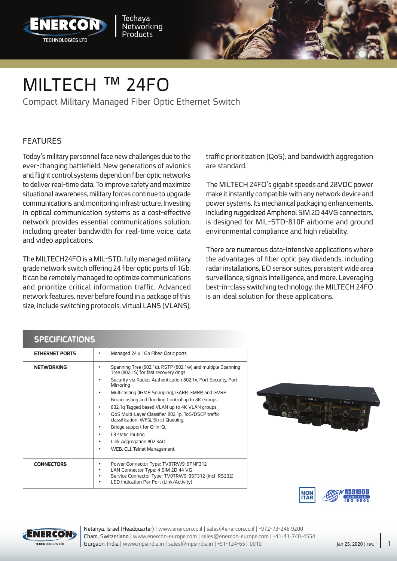



Compact Military Managed Fiber Optic Ethernet Switch

#### FEATURES

Today's military personnel face new challenges due to the ever-changing battlefield. New generations of avionics and flight control systems depend on fiber optic networks to deliver real-time data. To improve safety and maximize situational awareness, military forces continue to upgrade communications and monitoring infrastructure. Investing in optical communication systems as a cost-effective network provides essential communications solution, including greater bandwidth for real-time voice, data and video applications.

The MILTECH24FO is a MIL-STD, fully managed military grade network switch offering 24 fiber optic ports of 1Gb. It can be remotely managed to optimize communications and prioritize critical information traffic. Advanced network features, never before found in a package of this size, include switching protocols, virtual LANS (VLANS), traffic prioritization (QoS), and bandwidth aggregation are standard.

The MILTECH 24FO's gigabit speeds and 28VDC power make it instantly compatible with any network device and power systems. Its mechanical packaging enhancements, including ruggedized Amphenol SIM 2D 44VG connectors, is designed for MIL-STD-810F airborne and ground environmental compliance and high reliability.

There are numerous data-intensive applications where the advantages of fiber optic pay dividends, including radar installations, EO sensor suites, persistent wide area surveillance, signals intelligence, and more. Leveraging best-in-class switching technology, the MILTECH 24FO is an ideal solution for these applications.

#### SPECIFICATIONS

| JE EGIERATIVNO        |                                                                                                                                                                                                    |
|-----------------------|----------------------------------------------------------------------------------------------------------------------------------------------------------------------------------------------------|
| <b>ETHERNET PORTS</b> | Managed 24 x 1Gb Fiber-Optic ports                                                                                                                                                                 |
| <b>NETWORKING</b>     | Spanning Tree (802.1d), RSTP (802.1w) and multiple Spanning<br>Tree (802.15) for fast recovery rings                                                                                               |
|                       | Security via Radius Authentication 802.1x, Port Security, Port<br>٠<br>Mirroring                                                                                                                   |
|                       | Multicasting (IGMP Snooping), GARP, GMRP, and GVRP<br>$\bullet$                                                                                                                                    |
|                       | Broadcasting and flooding Control up to 8K Groups.                                                                                                                                                 |
|                       | 802.1g Tagged based VLAN up to 4K VLAN groups.<br>٠                                                                                                                                                |
|                       | QoS Multi-Layer Classifier, 802.1p, ToS/DSCP traffic<br>٠<br>classification. WFQ, Strict Queuing.                                                                                                  |
|                       | Bridge support for Q-in-Q.<br>٠                                                                                                                                                                    |
|                       | L3 static routing<br>٠                                                                                                                                                                             |
|                       | Link Aggregation 802.3AD.<br>٠                                                                                                                                                                     |
|                       | WEB, CLI, Telnet Management.<br>$\bullet$                                                                                                                                                          |
| <b>CONNECTORS</b>     | Power Connector Type: TV07RW9-9PNF312<br>٠<br>LAN Connector Type: 4 SIM 2D 44 VG<br>٠<br>Service Connector Type: TV07RW9-9SF312 (Incl' RS232)<br>٠<br>LED Indication Per Port (Link/Activity)<br>٠ |







Cham, Switzerland | www.enercon-europe.com | sales@enercon-europe.com | +41-41-740-4554 Netanya, Israel (Headquarter) | www.enercon.co.il | sales@enercon.co.il | +972-73-246 9200 Gurgaon, India | www.mpsindia.in | sales@mpsindia.in | +91-124-651 0010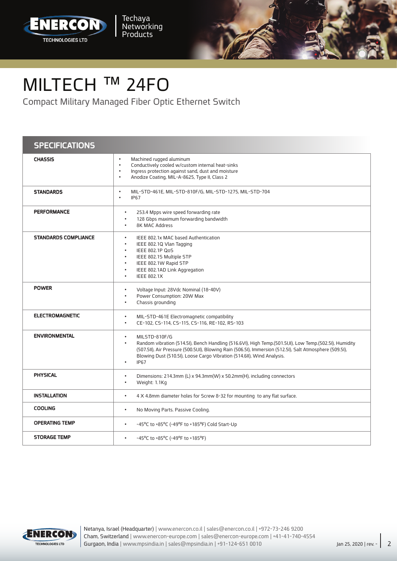



## MILTECH<sup>™</sup> 24FO

Compact Military Managed Fiber Optic Ethernet Switch

### **SPECIFICATIONS**

| <b>CHASSIS</b>              | Machined rugged aluminum<br>$\bullet$<br>Conductively cooled w/custom internal heat-sinks<br>$\bullet$                                                                                                                                                                                                                                                                |
|-----------------------------|-----------------------------------------------------------------------------------------------------------------------------------------------------------------------------------------------------------------------------------------------------------------------------------------------------------------------------------------------------------------------|
|                             | Ingress protection against sand, dust and moisture<br>$\bullet$<br>Anodize Coating, MIL-A-8625, Type II, Class 2<br>$\bullet$                                                                                                                                                                                                                                         |
| <b>STANDARDS</b>            | MIL-STD-461E, MIL-STD-810F/G, MIL-STD-1275, MIL-STD-704<br>$\bullet$<br><b>IP67</b><br>$\bullet$                                                                                                                                                                                                                                                                      |
| <b>PERFORMANCE</b>          | 253.4 Mpps wire speed forwarding rate<br>$\bullet$<br>128 Gbps maximum forwarding bandwidth<br>$\bullet$<br><b>8K MAC Address</b><br>$\bullet$                                                                                                                                                                                                                        |
| <b>STANDARDS COMPLIANCE</b> | IEEE 802.1x MAC based Authentication<br>$\bullet$<br>$\bullet$<br>IEEE 802.1Q Vlan Tagging<br><b>IEEE 802.1P QoS</b><br>$\bullet$<br>IEEE 802.15 Multiple STP<br>$\bullet$<br>IEEE 802.1W Rapid STP<br>$\bullet$<br>IEEE 802.1AD Link Aggregation<br>$\bullet$<br><b>IEEE 802.1X</b><br>$\bullet$                                                                     |
| <b>POWER</b>                | Voltage Input: 28Vdc Nominal (18-40V)<br>$\bullet$<br>Power Consumption: 20W Max<br>$\bullet$<br>Chassis grounding<br>$\bullet$                                                                                                                                                                                                                                       |
| <b>ELECTROMAGNETIC</b>      | MIL-STD-461E Electromagnetic compatibility<br>$\bullet$<br>CE-102, CS-114, CS-115, CS-116, RE-102, RS-103<br>$\bullet$                                                                                                                                                                                                                                                |
| <b>ENVIRONMENTAL</b>        | MILSTD-810F/G<br>$\bullet$<br>Random vibration (514.5I), Bench Handling (516.6VI), High Temp.(501.5I,II), Low Temp.(502.5I), Humidity<br>$\bullet$<br>(507.5II), Air Pressure (500.5I,II), Blowing Rain (506.5I), Immersion (512.5I), Salt Atmosphere (509.5I),<br>Blowing Dust (510.5I), Loose Cargo Vibration (514.6II), Wind Analysis.<br><b>IP67</b><br>$\bullet$ |
| <b>PHYSICAL</b>             | Dimensions: 214.3mm (L) x 94.3mm(W) x 50.2mm(H), including connectors<br>Weight: 1.1Kg<br>$\bullet$                                                                                                                                                                                                                                                                   |
| <b>INSTALLATION</b>         | 4 X 4.8mm diameter holes for Screw 8-32 for mounting to any flat surface.<br>$\bullet$                                                                                                                                                                                                                                                                                |
| <b>COOLING</b>              | No Moving Parts. Passive Cooling.<br>$\bullet$                                                                                                                                                                                                                                                                                                                        |
| <b>OPERATING TEMP</b>       | -45°C to +85°C (-49°F to +185°F) Cold Start-Up<br>$\bullet$                                                                                                                                                                                                                                                                                                           |
| <b>STORAGE TEMP</b>         | -45°C to +85°C (-49°F to +185°F)<br>$\bullet$                                                                                                                                                                                                                                                                                                                         |